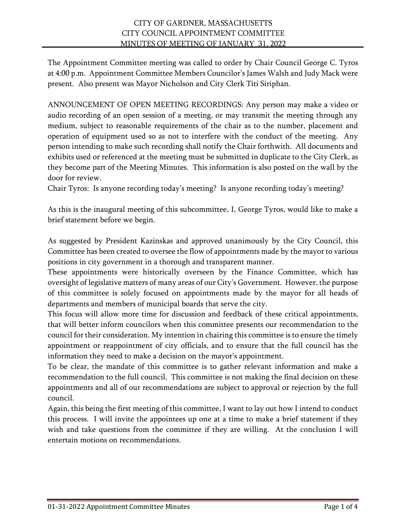The Appointment Committee meeting was called to order by Chair Council George C. Tyros at 4:00 p.m. Appointment Committee Members Councilor's James Walsh and Judy Mack were present. Also present was Mayor Nicholson and City Clerk Titi Siriphan.

ANNOUNCEMENT OF OPEN MEETING RECORDINGS: Any person may make a video or audio recording of an open session of a meeting, or may transmit the meeting through any medium, subject to reasonable requirements of the chair as to the number, placement and operation of equipment used so as not to interfere with the conduct of the meeting. Any person intending to make such recording shall notify the Chair forthwith. All documents and exhibits used or referenced at the meeting must be submitted in duplicate to the City Clerk, as they become part of the Meeting Minutes. This information is also posted on the wall by the door for review.

Chair Tyros: Is anyone recording today's meeting? Is anyone recording today's meeting?

As this is the inaugural meeting of this subcommittee, I, George Tyros, would like to make a brief statement before we begin.

As suggested by President Kazinskas and approved unanimously by the City Council, this Committee has been created to oversee the flow of appointments made by the mayor to various positions in city government in a thorough and transparent manner.

These appointments were historically overseen by the Finance Committee, which has oversight of legislative matters of many areas of our City's Government. However, the purpose of this committee is solely focused on appointments made by the mayor for all heads of departments and members of municipal boards that serve the city.

This focus will allow more time for discussion and feedback of these critical appointments, that will better inform councilors when this committee presents our recommendation to the council for their consideration. My intention in chairing this committee is to ensure the timely appointment or reappointment of city officials, and to ensure that the full council has the information they need to make a decision on the mayor's appointment.

To be clear, the mandate of this committee is to gather relevant information and make a recommendation to the full council. This committee is not making the final decision on these appointments and all of our recommendations are subject to approval or rejection by the full council.

Again, this being the first meeting of this committee, I want to lay out how I intend to conduct this process. I will invite the appointees up one at a time to make a brief statement if they wish and take questions from the committee if they are willing. At the conclusion I will entertain motions on recommendations.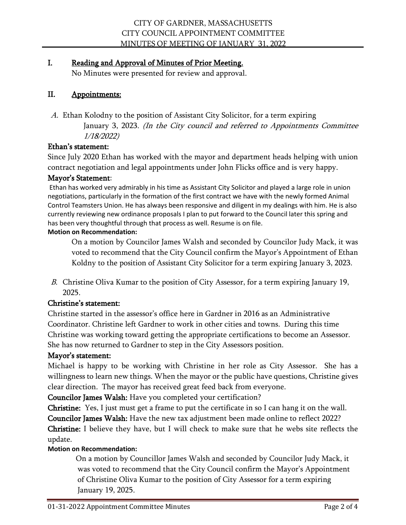# I. Reading and Approval of Minutes of Prior Meeting.

No Minutes were presented for review and approval.

# II. Appointments:

A. Ethan Kolodny to the position of Assistant City Solicitor, for a term expiring January 3, 2023. (In the City council and referred to Appointments Committee 1/18/2022)

# Ethan's statement:

Since July 2020 Ethan has worked with the mayor and department heads helping with union contract negotiation and legal appointments under John Flicks office and is very happy.

## Mayor's Statement:

Ethan has worked very admirably in his time as Assistant City Solicitor and played a large role in union negotiations, particularly in the formation of the first contract we have with the newly formed Animal Control Teamsters Union. He has always been responsive and diligent in my dealings with him. He is also currently reviewing new ordinance proposals I plan to put forward to the Council later this spring and has been very thoughtful through that process as well. Resume is on file.

### **Motion on Recommendation:**

On a motion by Councilor James Walsh and seconded by Councilor Judy Mack, it was voted to recommend that the City Council confirm the Mayor's Appointment of Ethan Koldny to the position of Assistant City Solicitor for a term expiring January 3, 2023.

B. Christine Oliva Kumar to the position of City Assessor, for a term expiring January 19, 2025.

# Christine's statement:

Christine started in the assessor's office here in Gardner in 2016 as an Administrative Coordinator. Christine left Gardner to work in other cities and towns. During this time Christine was working toward getting the appropriate certifications to become an Assessor. She has now returned to Gardner to step in the City Assessors position.

# Mayor's statement:

Michael is happy to be working with Christine in her role as City Assessor. She has a willingness to learn new things. When the mayor or the public have questions, Christine gives clear direction. The mayor has received great feed back from everyone.

Councilor James Walsh: Have you completed your certification?

Christine: Yes, I just must get a frame to put the certificate in so I can hang it on the wall.

Councilor James Walsh: Have the new tax adjustment been made online to reflect 2022? Christine: I believe they have, but I will check to make sure that he webs site reflects the update.

# **Motion on Recommendation:**

On a motion by Councillor James Walsh and seconded by Councilor Judy Mack, it was voted to recommend that the City Council confirm the Mayor's Appointment of Christine Oliva Kumar to the position of City Assessor for a term expiring January 19, 2025.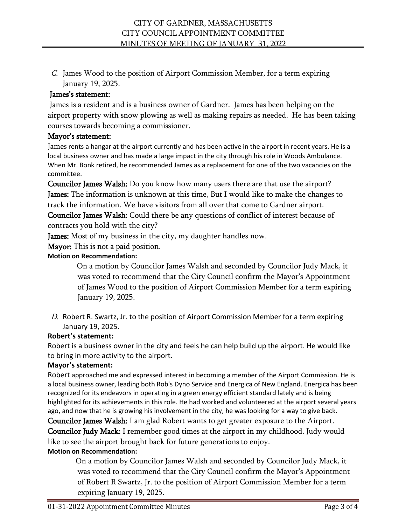C. James Wood to the position of Airport Commission Member, for a term expiring January 19, 2025.

## James's statement:

James is a resident and is a business owner of Gardner. James has been helping on the airport property with snow plowing as well as making repairs as needed. He has been taking courses towards becoming a commissioner.

## Mayor's statement:

James rents a hangar at the airport currently and has been active in the airport in recent years. He is a local business owner and has made a large impact in the city through his role in Woods Ambulance. When Mr. Bonk retired, he recommended James as a replacement for one of the two vacancies on the committee.

Councilor James Walsh: Do you know how many users there are that use the airport? James: The information is unknown at this time, But I would like to make the changes to track the information. We have visitors from all over that come to Gardner airport.

Councilor James Walsh: Could there be any questions of conflict of interest because of contracts you hold with the city?

James: Most of my business in the city, my daughter handles now.

**Mayor:** This is not a paid position.

## **Motion on Recommendation:**

On a motion by Councilor James Walsh and seconded by Councilor Judy Mack, it was voted to recommend that the City Council confirm the Mayor's Appointment of James Wood to the position of Airport Commission Member for a term expiring January 19, 2025.

D. Robert R. Swartz, Jr. to the position of Airport Commission Member for a term expiring January 19, 2025.

# **Robert's statement:**

Robert is a business owner in the city and feels he can help build up the airport. He would like to bring in more activity to the airport.

### **Mayor's statement:**

Robert approached me and expressed interest in becoming a member of the Airport Commission. He is a local business owner, leading both Rob's Dyno Service and Energica of New England. Energica has been recognized for its endeavors in operating in a green energy efficient standard lately and is being highlighted for its achievements in this role. He had worked and volunteered at the airport several years ago, and now that he is growing his involvement in the city, he was looking for a way to give back.

Councilor James Walsh: I am glad Robert wants to get greater exposure to the Airport. Councilor Judy Mack: I remember good times at the airport in my childhood. Judy would like to see the airport brought back for future generations to enjoy. **Motion on Recommendation:**

 On a motion by Councilor James Walsh and seconded by Councilor Judy Mack, it was voted to recommend that the City Council confirm the Mayor's Appointment of Robert R Swartz, Jr. to the position of Airport Commission Member for a term expiring January 19, 2025.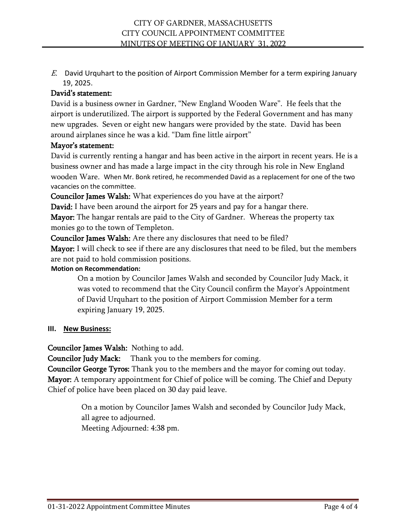E. David Urquhart to the position of Airport Commission Member for a term expiring January 19, 2025.

## David's statement:

David is a business owner in Gardner, "New England Wooden Ware". He feels that the airport is underutilized. The airport is supported by the Federal Government and has many new upgrades. Seven or eight new hangars were provided by the state. David has been around airplanes since he was a kid. "Dam fine little airport"

## Mayor's statement:

David is currently renting a hangar and has been active in the airport in recent years. He is a business owner and has made a large impact in the city through his role in New England wooden Ware. When Mr. Bonk retired, he recommended David as a replacement for one of the two vacancies on the committee.

Councilor James Walsh: What experiences do you have at the airport?

David: I have been around the airport for 25 years and pay for a hangar there.

Mayor: The hangar rentals are paid to the City of Gardner. Whereas the property tax monies go to the town of Templeton.

Councilor James Walsh: Are there any disclosures that need to be filed?

Mayor: I will check to see if there are any disclosures that need to be filed, but the members are not paid to hold commission positions.

### **Motion on Recommendation:**

 On a motion by Councilor James Walsh and seconded by Councilor Judy Mack, it was voted to recommend that the City Council confirm the Mayor's Appointment of David Urquhart to the position of Airport Commission Member for a term expiring January 19, 2025.

### **III. New Business:**

Councilor James Walsh: Nothing to add.

Councilor Judy Mack: Thank you to the members for coming.

Councilor George Tyros: Thank you to the members and the mayor for coming out today. Mayor: A temporary appointment for Chief of police will be coming. The Chief and Deputy Chief of police have been placed on 30 day paid leave.

> On a motion by Councilor James Walsh and seconded by Councilor Judy Mack, all agree to adjourned. Meeting Adjourned: 4:38 pm.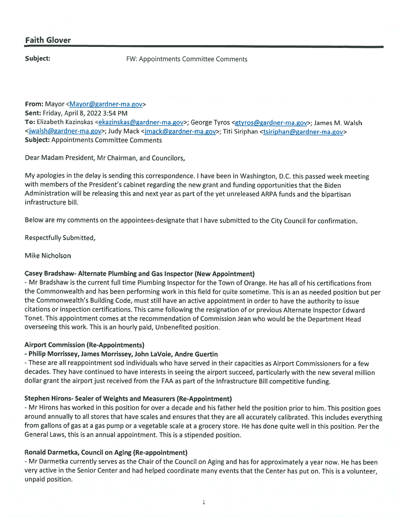## **Faith Glover**

Subject:

**FW: Appointments Committee Comments** 

From: Mayor <Mayor@gardner-ma.gov> Sent: Friday, April 8, 2022 3:54 PM To: Elizabeth Kazinskas <ekazinskas@gardner-ma.gov>; George Tyros <gtyros@gardner-ma.gov>; James M. Walsh <jwalsh@gardner-ma.gov>; Judy Mack <jmack@gardner-ma.gov>; Titi Siriphan <tsiriphan@gardner-ma.gov> **Subject: Appointments Committee Comments** 

Dear Madam President, Mr Chairman, and Councilors,

My apologies in the delay is sending this correspondence. I have been in Washington, D.C. this passed week meeting with members of the President's cabinet regarding the new grant and funding opportunities that the Biden Administration will be releasing this and next year as part of the yet unreleased ARPA funds and the bipartisan infrastructure bill.

Below are my comments on the appointees-designate that I have submitted to the City Council for confirmation.

**Respectfully Submitted,** 

Mike Nicholson

### Casey Bradshaw- Alternate Plumbing and Gas Inspector (New Appointment)

- Mr Bradshaw is the current full time Plumbing Inspector for the Town of Orange. He has all of his certifications from the Commonwealth and has been performing work in this field for quite sometime. This is an as needed position but per the Commonwealth's Building Code, must still have an active appointment in order to have the authority to issue citations or inspection certifications. This came following the resignation of or previous Alternate Inspector Edward Tonet. This appointment comes at the recommendation of Commission Jean who would be the Department Head overseeing this work. This is an hourly paid, Unbenefited position.

### **Airport Commission (Re-Appointments)**

### - Philip Morrissey, James Morrissey, John LaVoie, Andre Guertin

- These are all reappointment sod individuals who have served in their capacities as Airport Commissioners for a few decades. They have continued to have interests in seeing the airport succeed, particularly with the new several million dollar grant the airport just received from the FAA as part of the Infrastructure Bill competitive funding.

### **Stephen Hirons- Sealer of Weights and Measurers (Re-Appointment)**

- Mr Hirons has worked in this position for over a decade and his father held the position prior to him. This position goes around annually to all stores that have scales and ensures that they are all accurately calibrated. This includes everything from gallons of gas at a gas pump or a vegetable scale at a grocery store. He has done quite well in this position. Per the General Laws, this is an annual appointment. This is a stipended position.

### **Ronald Darmetka, Council on Aging (Re-appointment)**

- Mr Darmetka currently serves as the Chair of the Council on Aging and has for approximately a year now. He has been very active in the Senior Center and had helped coordinate many events that the Center has put on. This is a volunteer, unpaid position.